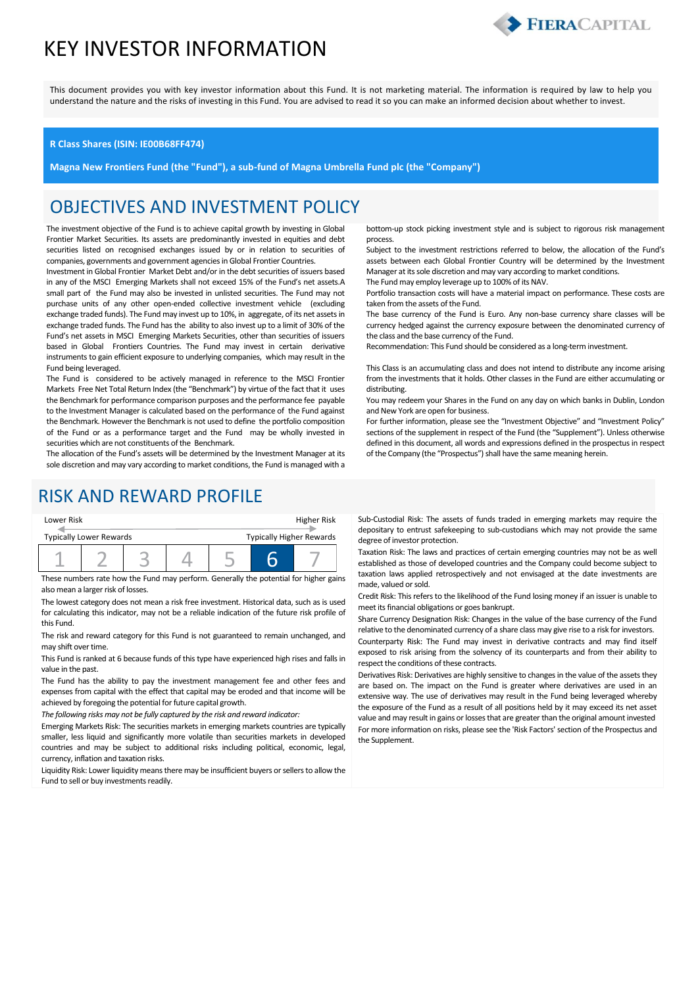# KEY INVESTOR INFORMATION



This document provides you with key investor information about this Fund. It is not marketing material. The information is required by law to help you understand the nature and the risks of investing in this Fund. You are advised to read it so you can make an informed decision about whether to invest.

#### **R Class Shares (ISIN: IE00B68FF474)**

**Magna New Frontiers Fund (the "Fund"), a sub-fund of Magna Umbrella Fund plc (the "Company")**

## OBJECTIVES AND INVESTMENT POLICY

The investment objective of the Fund is to achieve capital growth by investing in Global Frontier Market Securities. Its assets are predominantly invested in equities and debt securities listed on recognised exchanges issued by or in relation to securities of companies, governments and government agencies in Global Frontier Countries.

Investment in Global Frontier Market Debt and/or in the debt securities of issuers based in any of the MSCI Emerging Markets shall not exceed 15% of the Fund's net assets.A small part of the Fund may also be invested in unlisted securities. The Fund may not purchase units of any other open-ended collective investment vehicle (excluding exchange traded funds). The Fund may invest up to 10%, in aggregate, of its net assets in exchange traded funds. The Fund has the ability to also invest up to a limit of 30% of the Fund's net assets in MSCI Emerging Markets Securities, other than securities of issuers based in Global Frontiers Countries. The Fund may invest in certain derivative instruments to gain efficient exposure to underlying companies, which may result in the Fund being leveraged.

The Fund is considered to be actively managed in reference to the MSCI Frontier Markets Free Net Total Return Index (the "Benchmark") by virtue of the fact that it uses the Benchmark for performance comparison purposes and the performance fee payable to the Investment Manager is calculated based on the performance of the Fund against the Benchmark. However the Benchmark is not used to define the portfolio composition of the Fund or as a performance target and the Fund may be wholly invested in securities which are not constituents of the Benchmark.

The allocation of the Fund's assets will be determined by the Investment Manager at its sole discretion and may vary according to market conditions, the Fund is managed with a

### RISK AND REWARD PROFILE

| Lower Risk |                                |  |  | Higher Risk                     |  |
|------------|--------------------------------|--|--|---------------------------------|--|
|            | <b>Typically Lower Rewards</b> |  |  | <b>Typically Higher Rewards</b> |  |
|            |                                |  |  |                                 |  |

These numbers rate how the Fund may perform. Generally the potential for higher gains also mean a larger risk of losses.

The lowest category does not mean a risk free investment. Historical data, such as is used for calculating this indicator, may not be a reliable indication of the future risk profile of this Fund.

The risk and reward category for this Fund is not guaranteed to remain unchanged, and may shift over time.

This Fund is ranked at 6 because funds of this type have experienced high rises and falls in value in the past.

The Fund has the ability to pay the investment management fee and other fees and expenses from capital with the effect that capital may be eroded and that income will be achieved by foregoing the potential for future capital growth.

*The following risks may not be fully captured by the risk and reward indicator:*

Emerging Markets Risk: The securities markets in emerging markets countries are typically smaller, less liquid and significantly more volatile than securities markets in developed countries and may be subject to additional risks including political, economic, legal, currency, inflation and taxation risks.

Liquidity Risk: Lower liquidity means there may be insufficient buyers or sellers to allow the Fund to sell or buy investments readily.

bottom-up stock picking investment style and is subject to rigorous risk management process.

Subject to the investment restrictions referred to below, the allocation of the Fund's assets between each Global Frontier Country will be determined by the Investment Manager at its sole discretion and may vary according to market conditions.

The Fund may employ leverage up to 100% of its NAV.

Portfolio transaction costs will have a material impact on performance. These costs are taken from the assets of the Fund.

The base currency of the Fund is Euro. Any non-base currency share classes will be currency hedged against the currency exposure between the denominated currency of the class and the base currency of the Fund.

Recommendation: This Fund should be considered as a long-term investment.

This Class is an accumulating class and does not intend to distribute any income arising from the investments that it holds. Other classes in the Fund are either accumulating or distributing.

You may redeem your Shares in the Fund on any day on which banks in Dublin, London and New York are open for business.

For further information, please see the "Investment Objective" and "Investment Policy" sections of the supplement in respect of the Fund (the "Supplement"). Unless otherwise defined in this document, all words and expressions defined in the prospectus in respect of the Company (the "Prospectus") shall have the same meaning herein.

Sub-Custodial Risk: The assets of funds traded in emerging markets may require the depositary to entrust safekeeping to sub-custodians which may not provide the same degree of investor protection.

Taxation Risk: The laws and practices of certain emerging countries may not be as well established as those of developed countries and the Company could become subject to taxation laws applied retrospectively and not envisaged at the date investments are made, valued or sold.

Credit Risk: This refers to the likelihood of the Fund losing money if an issuer is unable to meet its financial obligations or goes bankrupt.

Share Currency Designation Risk: Changes in the value of the base currency of the Fund relative to the denominated currency of a share class may give rise to a risk for investors. Counterparty Risk: The Fund may invest in derivative contracts and may find itself exposed to risk arising from the solvency of its counterparts and from their ability to respect the conditions of these contracts.

Derivatives Risk: Derivatives are highly sensitive to changes in the value of the assets they are based on. The impact on the Fund is greater where derivatives are used in an extensive way. The use of derivatives may result in the Fund being leveraged whereby the exposure of the Fund as a result of all positions held by it may exceed its net asset value and may result in gains or losses that are greater than the original amount invested For more information on risks, please see the 'Risk Factors' section of the Prospectus and the Supplement.